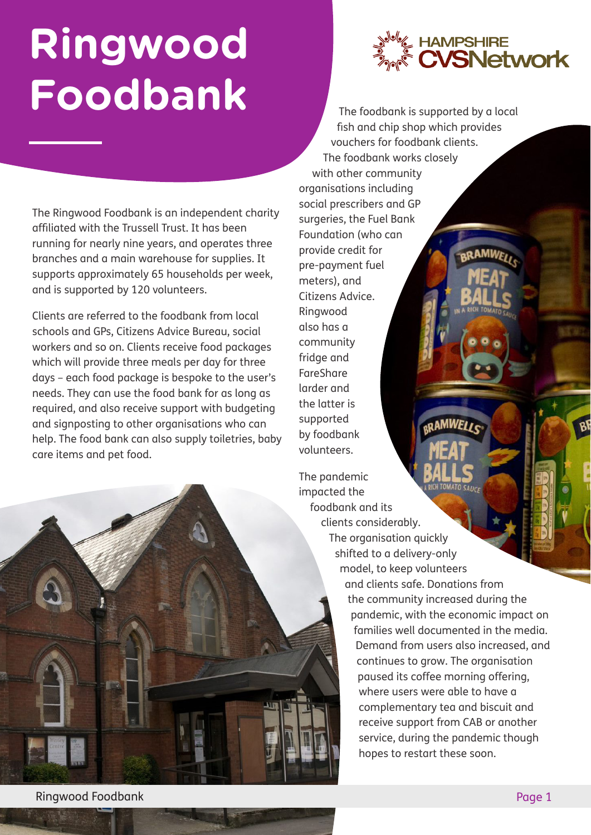## **Ringwood Foodbank**

The Ringwood Foodbank is an independent charity affiliated with the Trussell Trust. It has been running for nearly nine years, and operates three branches and a main warehouse for supplies. It supports approximately 65 households per week, and is supported by 120 volunteers.

Clients are referred to the foodbank from local schools and GPs, Citizens Advice Bureau, social workers and so on. Clients receive food packages which will provide three meals per day for three days – each food package is bespoke to the user's needs. They can use the food bank for as long as required, and also receive support with budgeting and signposting to other organisations who can help. The food bank can also supply toiletries, baby care items and pet food.

**HAMPSHIRE**<br>**CVSNetwork** 

AMWE

The foodbank is supported by a local fish and chip shop which provides vouchers for foodbank clients. The foodbank works closely with other community organisations including social prescribers and GP surgeries, the Fuel Bank Foundation (who can provide credit for pre-payment fuel meters), and Citizens Advice. Ringwood also has a community fridge and **FareShare** larder and the latter is supported *<b>GRAMWELI* by foodbank volunteers.

The pandemic impacted the foodbank and its clients considerably. The organisation quickly shifted to a delivery-only model, to keep volunteers and clients safe. Donations from the community increased during the pandemic, with the economic impact on families well documented in the media. Demand from users also increased, and continues to grow. The organisation paused its coffee morning offering, where users were able to have a complementary tea and biscuit and receive support from CAB or another service, during the pandemic though hopes to restart these soon.

Ringwood Foodbank Page 1